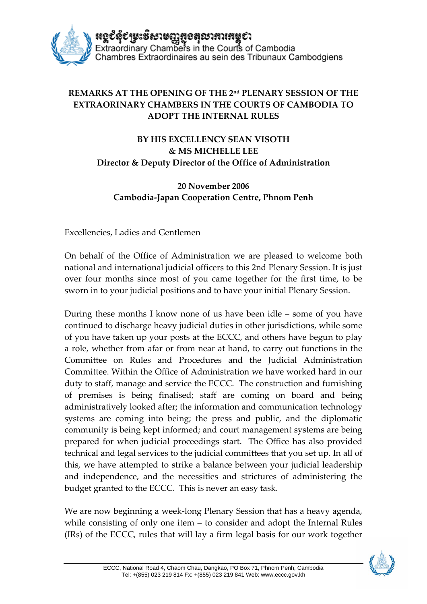

## **REMARKS AT THE OPENING OF THE 2nd PLENARY SESSION OF THE EXTRAORINARY CHAMBERS IN THE COURTS OF CAMBODIA TO ADOPT THE INTERNAL RULES**

## **BY HIS EXCELLENCY SEAN VISOTH & MS MICHELLE LEE Director & Deputy Director of the Office of Administration**

## **20 November 2006 Cambodia‐Japan Cooperation Centre, Phnom Penh**

Excellencies, Ladies and Gentlemen

On behalf of the Office of Administration we are pleased to welcome both national and international judicial officers to this 2nd Plenary Session. It is just over four months since most of you came together for the first time, to be sworn in to your judicial positions and to have your initial Plenary Session.

During these months I know none of us have been idle – some of you have continued to discharge heavy judicial duties in other jurisdictions, while some of you have taken up your posts at the ECCC, and others have begun to play a role, whether from afar or from near at hand, to carry out functions in the Committee on Rules and Procedures and the Judicial Administration Committee. Within the Office of Administration we have worked hard in our duty to staff, manage and service the ECCC. The construction and furnishing of premises is being finalised; staff are coming on board and being administratively looked after; the information and communication technology systems are coming into being; the press and public, and the diplomatic community is being kept informed; and court management systems are being prepared for when judicial proceedings start. The Office has also provided technical and legal services to the judicial committees that you set up. In all of this, we have attempted to strike a balance between your judicial leadership and independence, and the necessities and strictures of administering the budget granted to the ECCC. This is never an easy task.

We are now beginning a week-long Plenary Session that has a heavy agenda, while consisting of only one item – to consider and adopt the Internal Rules (IRs) of the ECCC, rules that will lay a firm legal basis for our work together

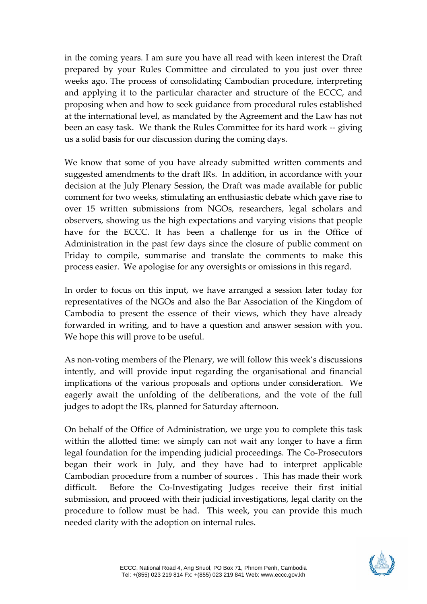in the coming years. I am sure you have all read with keen interest the Draft prepared by your Rules Committee and circulated to you just over three weeks ago. The process of consolidating Cambodian procedure, interpreting and applying it to the particular character and structure of the ECCC, and proposing when and how to seek guidance from procedural rules established at the international level, as mandated by the Agreement and the Law has not been an easy task. We thank the Rules Committee for its hard work ‐‐ giving us a solid basis for our discussion during the coming days.

We know that some of you have already submitted written comments and suggested amendments to the draft IRs. In addition, in accordance with your decision at the July Plenary Session, the Draft was made available for public comment for two weeks, stimulating an enthusiastic debate which gave rise to over 15 written submissions from NGOs, researchers, legal scholars and observers, showing us the high expectations and varying visions that people have for the ECCC. It has been a challenge for us in the Office of Administration in the past few days since the closure of public comment on Friday to compile, summarise and translate the comments to make this process easier. We apologise for any oversights or omissions in this regard.

In order to focus on this input, we have arranged a session later today for representatives of the NGOs and also the Bar Association of the Kingdom of Cambodia to present the essence of their views, which they have already forwarded in writing, and to have a question and answer session with you. We hope this will prove to be useful.

As non‐voting members of the Plenary, we will follow this week's discussions intently, and will provide input regarding the organisational and financial implications of the various proposals and options under consideration. We eagerly await the unfolding of the deliberations, and the vote of the full judges to adopt the IRs, planned for Saturday afternoon.

On behalf of the Office of Administration, we urge you to complete this task within the allotted time: we simply can not wait any longer to have a firm legal foundation for the impending judicial proceedings. The Co‐Prosecutors began their work in July, and they have had to interpret applicable Cambodian procedure from a number of sources . This has made their work difficult. Before the Co-Investigating Judges receive their first initial submission, and proceed with their judicial investigations, legal clarity on the procedure to follow must be had. This week, you can provide this much needed clarity with the adoption on internal rules.